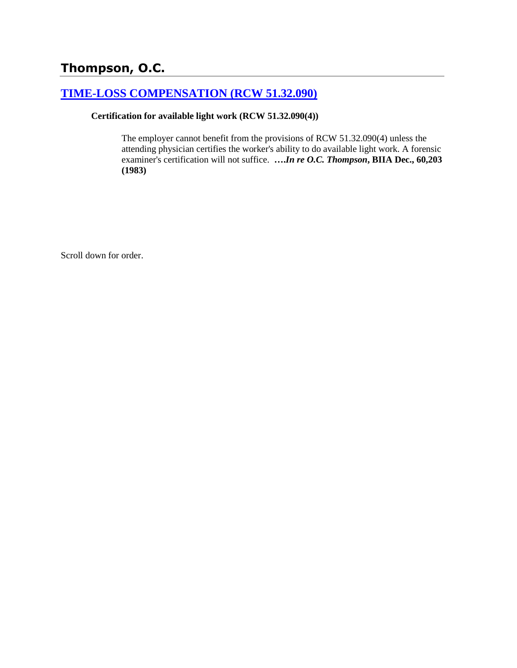# **Thompson, O.C.**

## **[TIME-LOSS COMPENSATION \(RCW 51.32.090\)](http://www.biia.wa.gov/SDSubjectIndex.html#TIME_LOSS_COMPENSATION)**

#### **Certification for available light work (RCW 51.32.090(4))**

The employer cannot benefit from the provisions of RCW 51.32.090(4) unless the attending physician certifies the worker's ability to do available light work. A forensic examiner's certification will not suffice. **….***In re O.C. Thompson***, BIIA Dec., 60,203 (1983)** 

Scroll down for order.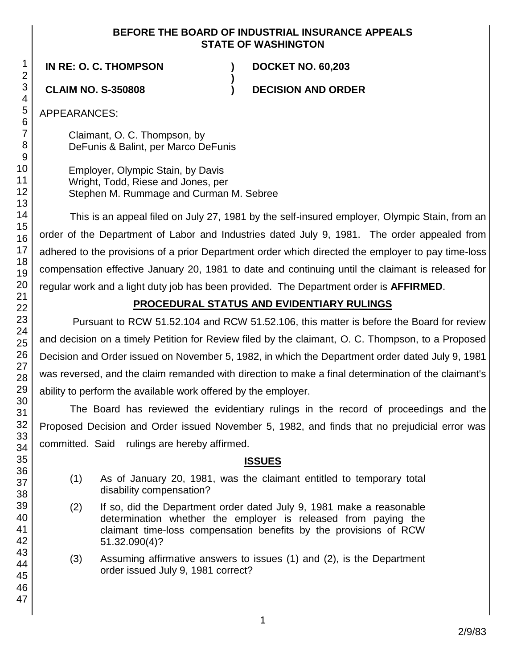#### **BEFORE THE BOARD OF INDUSTRIAL INSURANCE APPEALS STATE OF WASHINGTON**

**)**

**IN RE: O. C. THOMPSON ) DOCKET NO. 60,203**

**CLAIM NO. S-350808 ) DECISION AND ORDER**

APPEARANCES:

Claimant, O. C. Thompson, by DeFunis & Balint, per Marco DeFunis

Employer, Olympic Stain, by Davis Wright, Todd, Riese and Jones, per Stephen M. Rummage and Curman M. Sebree

This is an appeal filed on July 27, 1981 by the self-insured employer, Olympic Stain, from an order of the Department of Labor and Industries dated July 9, 1981. The order appealed from adhered to the provisions of a prior Department order which directed the employer to pay time-loss compensation effective January 20, 1981 to date and continuing until the claimant is released for regular work and a light duty job has been provided. The Department order is **AFFIRMED**.

# **PROCEDURAL STATUS AND EVIDENTIARY RULINGS**

Pursuant to RCW 51.52.104 and RCW 51.52.106, this matter is before the Board for review and decision on a timely Petition for Review filed by the claimant, O. C. Thompson, to a Proposed Decision and Order issued on November 5, 1982, in which the Department order dated July 9, 1981 was reversed, and the claim remanded with direction to make a final determination of the claimant's ability to perform the available work offered by the employer.

The Board has reviewed the evidentiary rulings in the record of proceedings and the Proposed Decision and Order issued November 5, 1982, and finds that no prejudicial error was committed. Said rulings are hereby affirmed.

#### **ISSUES**

- (1) As of January 20, 1981, was the claimant entitled to temporary total disability compensation?
- (2) If so, did the Department order dated July 9, 1981 make a reasonable determination whether the employer is released from paying the claimant time-loss compensation benefits by the provisions of RCW 51.32.090(4)?
- (3) Assuming affirmative answers to issues (1) and (2), is the Department order issued July 9, 1981 correct?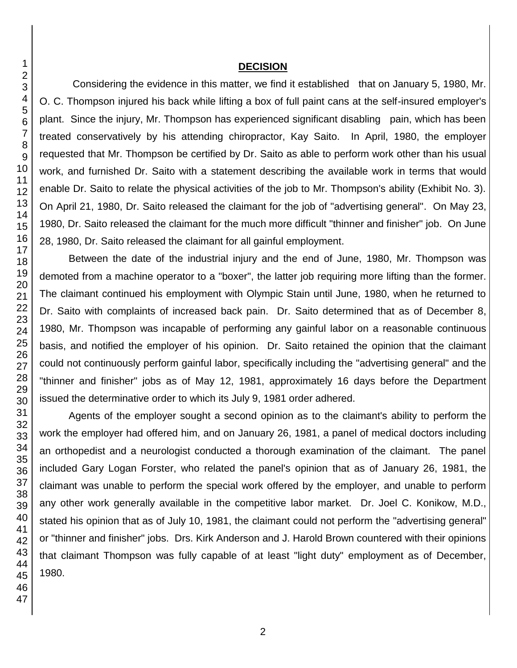#### **DECISION**

Considering the evidence in this matter, we find it established that on January 5, 1980, Mr. O. C. Thompson injured his back while lifting a box of full paint cans at the self-insured employer's plant. Since the injury, Mr. Thompson has experienced significant disabling pain, which has been treated conservatively by his attending chiropractor, Kay Saito. In April, 1980, the employer requested that Mr. Thompson be certified by Dr. Saito as able to perform work other than his usual work, and furnished Dr. Saito with a statement describing the available work in terms that would enable Dr. Saito to relate the physical activities of the job to Mr. Thompson's ability (Exhibit No. 3). On April 21, 1980, Dr. Saito released the claimant for the job of "advertising general". On May 23, 1980, Dr. Saito released the claimant for the much more difficult "thinner and finisher" job. On June 28, 1980, Dr. Saito released the claimant for all gainful employment.

Between the date of the industrial injury and the end of June, 1980, Mr. Thompson was demoted from a machine operator to a "boxer", the latter job requiring more lifting than the former. The claimant continued his employment with Olympic Stain until June, 1980, when he returned to Dr. Saito with complaints of increased back pain. Dr. Saito determined that as of December 8, 1980, Mr. Thompson was incapable of performing any gainful labor on a reasonable continuous basis, and notified the employer of his opinion. Dr. Saito retained the opinion that the claimant could not continuously perform gainful labor, specifically including the "advertising general" and the "thinner and finisher" jobs as of May 12, 1981, approximately 16 days before the Department issued the determinative order to which its July 9, 1981 order adhered.

Agents of the employer sought a second opinion as to the claimant's ability to perform the work the employer had offered him, and on January 26, 1981, a panel of medical doctors including an orthopedist and a neurologist conducted a thorough examination of the claimant. The panel included Gary Logan Forster, who related the panel's opinion that as of January 26, 1981, the claimant was unable to perform the special work offered by the employer, and unable to perform any other work generally available in the competitive labor market. Dr. Joel C. Konikow, M.D., stated his opinion that as of July 10, 1981, the claimant could not perform the "advertising general" or "thinner and finisher" jobs. Drs. Kirk Anderson and J. Harold Brown countered with their opinions that claimant Thompson was fully capable of at least "light duty" employment as of December, 1980.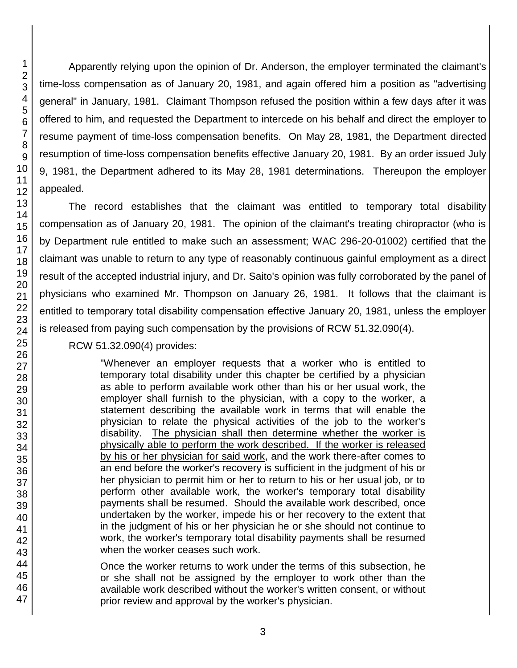Apparently relying upon the opinion of Dr. Anderson, the employer terminated the claimant's time-loss compensation as of January 20, 1981, and again offered him a position as "advertising general" in January, 1981. Claimant Thompson refused the position within a few days after it was offered to him, and requested the Department to intercede on his behalf and direct the employer to resume payment of time-loss compensation benefits. On May 28, 1981, the Department directed resumption of time-loss compensation benefits effective January 20, 1981. By an order issued July 9, 1981, the Department adhered to its May 28, 1981 determinations. Thereupon the employer appealed.

The record establishes that the claimant was entitled to temporary total disability compensation as of January 20, 1981. The opinion of the claimant's treating chiropractor (who is by Department rule entitled to make such an assessment; WAC 296-20-01002) certified that the claimant was unable to return to any type of reasonably continuous gainful employment as a direct result of the accepted industrial injury, and Dr. Saito's opinion was fully corroborated by the panel of physicians who examined Mr. Thompson on January 26, 1981. It follows that the claimant is entitled to temporary total disability compensation effective January 20, 1981, unless the employer is released from paying such compensation by the provisions of RCW 51.32.090(4).

#### RCW 51.32.090(4) provides:

"Whenever an employer requests that a worker who is entitled to temporary total disability under this chapter be certified by a physician as able to perform available work other than his or her usual work, the employer shall furnish to the physician, with a copy to the worker, a statement describing the available work in terms that will enable the physician to relate the physical activities of the job to the worker's disability. The physician shall then determine whether the worker is physically able to perform the work described. If the worker is released by his or her physician for said work, and the work there-after comes to an end before the worker's recovery is sufficient in the judgment of his or her physician to permit him or her to return to his or her usual job, or to perform other available work, the worker's temporary total disability payments shall be resumed. Should the available work described, once undertaken by the worker, impede his or her recovery to the extent that in the judgment of his or her physician he or she should not continue to work, the worker's temporary total disability payments shall be resumed when the worker ceases such work.

Once the worker returns to work under the terms of this subsection, he or she shall not be assigned by the employer to work other than the available work described without the worker's written consent, or without prior review and approval by the worker's physician.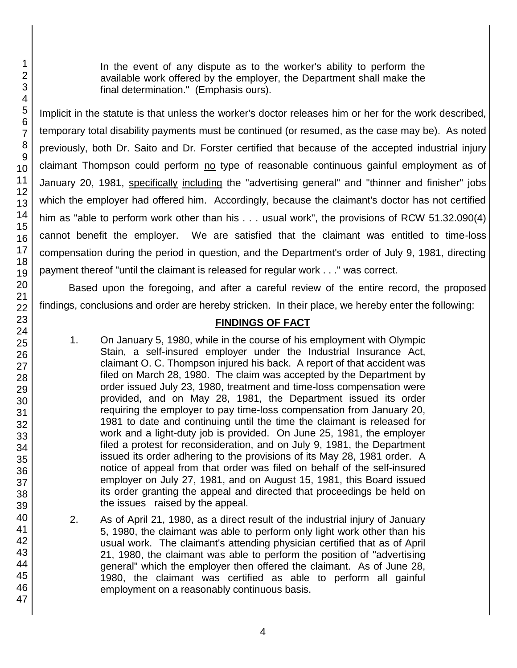In the event of any dispute as to the worker's ability to perform the available work offered by the employer, the Department shall make the final determination." (Emphasis ours).

Implicit in the statute is that unless the worker's doctor releases him or her for the work described, temporary total disability payments must be continued (or resumed, as the case may be). As noted previously, both Dr. Saito and Dr. Forster certified that because of the accepted industrial injury claimant Thompson could perform no type of reasonable continuous gainful employment as of January 20, 1981, specifically including the "advertising general" and "thinner and finisher" jobs which the employer had offered him. Accordingly, because the claimant's doctor has not certified him as "able to perform work other than his . . . usual work", the provisions of RCW 51.32.090(4) cannot benefit the employer. We are satisfied that the claimant was entitled to time-loss compensation during the period in question, and the Department's order of July 9, 1981, directing payment thereof "until the claimant is released for regular work . . ." was correct.

Based upon the foregoing, and after a careful review of the entire record, the proposed findings, conclusions and order are hereby stricken. In their place, we hereby enter the following:

## **FINDINGS OF FACT**

- 1. On January 5, 1980, while in the course of his employment with Olympic Stain, a self-insured employer under the Industrial Insurance Act, claimant O. C. Thompson injured his back. A report of that accident was filed on March 28, 1980. The claim was accepted by the Department by order issued July 23, 1980, treatment and time-loss compensation were provided, and on May 28, 1981, the Department issued its order requiring the employer to pay time-loss compensation from January 20, 1981 to date and continuing until the time the claimant is released for work and a light-duty job is provided. On June 25, 1981, the employer filed a protest for reconsideration, and on July 9, 1981, the Department issued its order adhering to the provisions of its May 28, 1981 order. A notice of appeal from that order was filed on behalf of the self-insured employer on July 27, 1981, and on August 15, 1981, this Board issued its order granting the appeal and directed that proceedings be held on the issues raised by the appeal.
- 2. As of April 21, 1980, as a direct result of the industrial injury of January 5, 1980, the claimant was able to perform only light work other than his usual work. The claimant's attending physician certified that as of April 21, 1980, the claimant was able to perform the position of "advertising general" which the employer then offered the claimant. As of June 28, 1980, the claimant was certified as able to perform all gainful employment on a reasonably continuous basis.